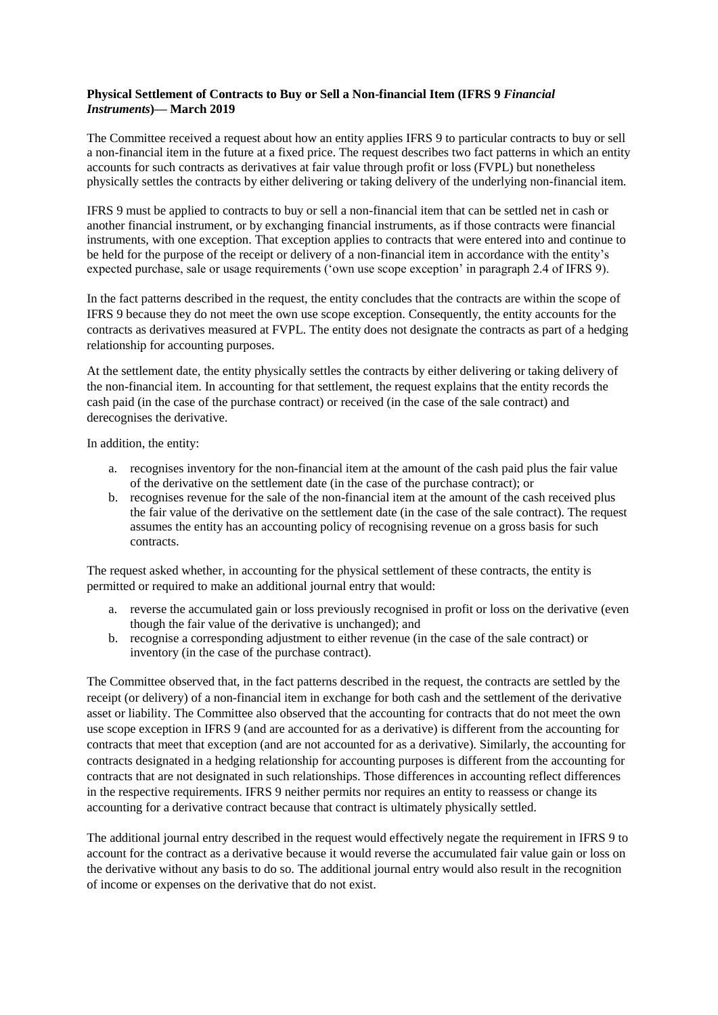## **Physical Settlement of Contracts to Buy or Sell a Non-financial Item (IFRS 9** *Financial Instruments***)— March 2019**

The Committee received a request about how an entity applies IFRS 9 to particular contracts to buy or sell a non-financial item in the future at a fixed price. The request describes two fact patterns in which an entity accounts for such contracts as derivatives at fair value through profit or loss (FVPL) but nonetheless physically settles the contracts by either delivering or taking delivery of the underlying non-financial item.

IFRS 9 must be applied to contracts to buy or sell a non-financial item that can be settled net in cash or another financial instrument, or by exchanging financial instruments, as if those contracts were financial instruments, with one exception. That exception applies to contracts that were entered into and continue to be held for the purpose of the receipt or delivery of a non-financial item in accordance with the entity's expected purchase, sale or usage requirements ('own use scope exception' in paragraph 2.4 of IFRS 9).

In the fact patterns described in the request, the entity concludes that the contracts are within the scope of IFRS 9 because they do not meet the own use scope exception. Consequently, the entity accounts for the contracts as derivatives measured at FVPL. The entity does not designate the contracts as part of a hedging relationship for accounting purposes.

At the settlement date, the entity physically settles the contracts by either delivering or taking delivery of the non-financial item. In accounting for that settlement, the request explains that the entity records the cash paid (in the case of the purchase contract) or received (in the case of the sale contract) and derecognises the derivative.

In addition, the entity:

- a. recognises inventory for the non-financial item at the amount of the cash paid plus the fair value of the derivative on the settlement date (in the case of the purchase contract); or
- b. recognises revenue for the sale of the non-financial item at the amount of the cash received plus the fair value of the derivative on the settlement date (in the case of the sale contract). The request assumes the entity has an accounting policy of recognising revenue on a gross basis for such contracts.

The request asked whether, in accounting for the physical settlement of these contracts, the entity is permitted or required to make an additional journal entry that would:

- a. reverse the accumulated gain or loss previously recognised in profit or loss on the derivative (even though the fair value of the derivative is unchanged); and
- b. recognise a corresponding adjustment to either revenue (in the case of the sale contract) or inventory (in the case of the purchase contract).

The Committee observed that, in the fact patterns described in the request, the contracts are settled by the receipt (or delivery) of a non-financial item in exchange for both cash and the settlement of the derivative asset or liability. The Committee also observed that the accounting for contracts that do not meet the own use scope exception in IFRS 9 (and are accounted for as a derivative) is different from the accounting for contracts that meet that exception (and are not accounted for as a derivative). Similarly, the accounting for contracts designated in a hedging relationship for accounting purposes is different from the accounting for contracts that are not designated in such relationships. Those differences in accounting reflect differences in the respective requirements. IFRS 9 neither permits nor requires an entity to reassess or change its accounting for a derivative contract because that contract is ultimately physically settled.

The additional journal entry described in the request would effectively negate the requirement in IFRS 9 to account for the contract as a derivative because it would reverse the accumulated fair value gain or loss on the derivative without any basis to do so. The additional journal entry would also result in the recognition of income or expenses on the derivative that do not exist.